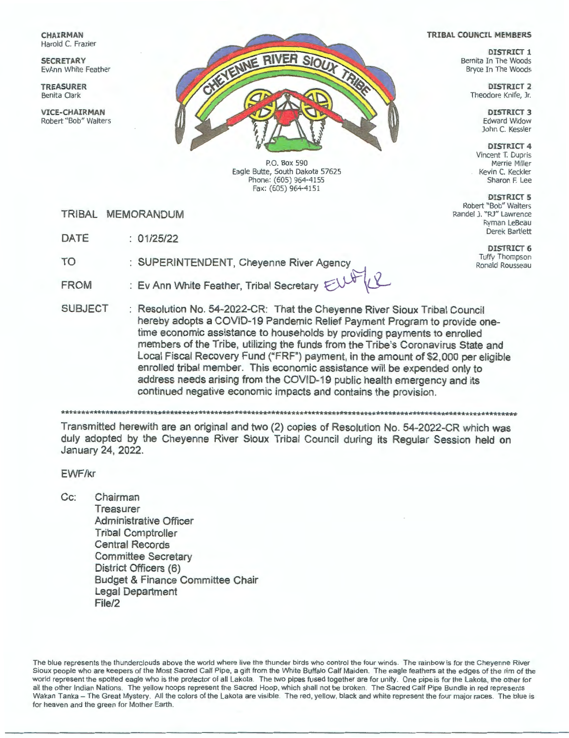**CHAIRMAN** Harold C. Frazier

**SECRETARY**  EvAnn White Feather

**TREASURER**  Benita Clark

**VICE-CHAIRMAN**  Robert "Bob" Walters



P.O. Box 590 Eagle Butte, South Dakota 57625 Phone: (605) 964-4155 Fax: (605) 964-4151

TRIBAL MEMORANDUM

DATE: 01/25/22

TO : SUPERINTENDENT, Cheyenne River Agency

: Ev Ann White Feather, Tribal Secretary F FROM



SUBJECT : Resolution No. 54-2022-CR: That the Cheyenne River Sioux Tribal Council hereby adopts a COVID-19 Pandemic Relief Payment Program to provide onetime economic assistance to households by providing payments to enrolled members of the Tribe, utilizing the funds from the Tribe's Coronavirus State and Local Fiscal Recovery Fund ("FRF") payment, in the amount of \$2,000 per eligible enrolled tribal member. This economic assistance will be expended only to address needs arising from the COVID-19 public health emergency and its continued negative economic impacts and contains the provision.

\*\*\*\*\*\*\*\*\*\*\*\*\*\*\*\*\*\*\*\*\*\*\*\*\*\*\*\*\*\*\*\*\*\*\*\*\*\*\*\*\*\*\*\*\*\*\*\*\*-lrlt\*\*\*\*\*\*\*\*\*\*\*\*\*\*\*\*\*\*\*\*\*\*\*\*\*\*\*\*\*\*\*\*\*\*\*\*\*\*\*\*\*\*\*\*\*\*\*\*\*\*\*\*\*\*\*\*\*\*\*\*\*\*

**Transmitted herewith are an original and two (2) copies of Resolution No. 54-2022-CR which was**  duly **adopted by the Cheyenne River Sioux Tribal Council during its Regular Session held on January 24, 2022.** 

**EWF/kr** 

**Cc: Chairman Treasurer Administrative Officer Tribal Comptroller Central Records Committee Secretary District Officers (6) Budget** & **Finance Committee Chair Legal Department File/2** 

The blue represents the thunderclouds above the world where live the thunder birds who control the four winds. The rainbow is for the Cheyenne River Sioux people who are keepers of the Most Sacred Calf Pipe, a gift from the White Buffalo Calf Maiden. The eagle feathers at the edges of the rim of the world represent the spotted eagle who is the protector of all Lakota. The two pipes fused together are for unity. One pipe is for the Lakota, the other for all the other Indian Nations. The yellow hoops represent the Sacred Hoop, which shall not be broken. The Sacred Calf Pipe Bundle in red represents Wakan Tanka - The Great Mystery. All the colors of the Lakota are visible. The red, yellow, black and white represent the four major races. The blue is for heaven and the green for Mother Earth.

#### **TRIBAL COUNCIL MEMBERS**

**DISTRICT 1**  Bernita In The Woods Bryce In The Woods

> **DISTRICT 2**  Theodore Knife, Jr.

> > **DISTRICT 3**  Edward Widow John C. Kessler

**DISTRICT 4**  Vincent T. Dupris Merrie Miller Kevin C. Keckler Sharon F. Lee

**DISTRICT 5**  Robert "Bob" Walters Randel J. "RJ" Lawrence Ryman LeBeau

> **DISTRICT 6**  Tuffy Thompson Ronald Rousseau

Derek Bartlett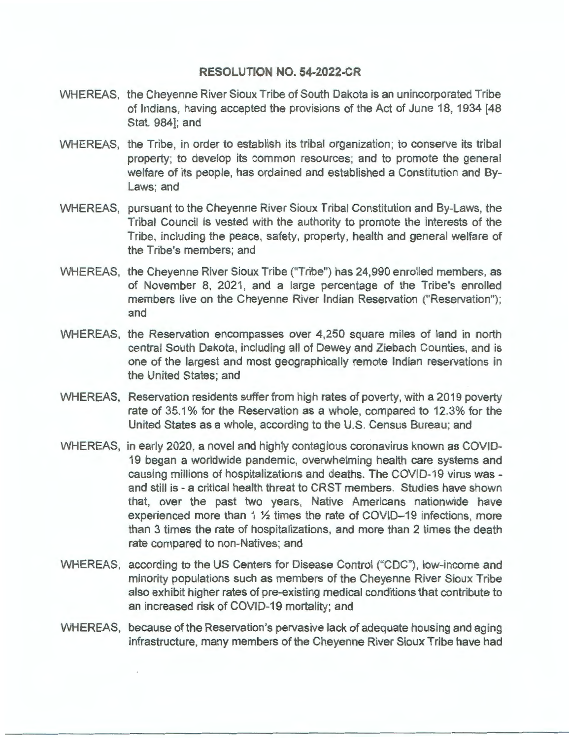#### **RESOLUTION NO. 54-2022-CR**

- WHEREAS, the Cheyenne River Sioux Tribe of South Dakota is an unincorporated Tribe of Indians, having accepted the provisions of the Act of June 18, 1934 [48 Stat. 984]; and
- WHEREAS, the Tribe, in order to establish its tribal organization; to conserve its tribal property; to develop its common resources; and to promote the general welfare of its people, has ordained and established a Constitution and By-Laws; and
- WHEREAS, pursuant to the Cheyenne River Sioux Tribal Constitution and By-Laws, the Tribal Council is vested with the authority to promote the interests of the Tribe, including the peace, safety, property, health and general welfare of the Tribe's members; and
- WHEREAS, the Cheyenne River Sioux Tribe ("Tribe") has 24,990 enrolled members, as of November 8, 2021, and a large percentage of the Tribe's enrolled members live on the Cheyenne River Indian Reservation ("Reservation"); and
- WHEREAS, the Reservation encompasses over 4,250 square miles of land in north central South Dakota, including all of Dewey and Ziebach Counties, and is one of the largest and most geographically remote Indian reservations in the United States; and
- WHEREAS, Reservation residents suffer from high rates of poverty, with a 2019 poverty rate of 35.1 % for the Reservation as a whole, compared to 12.3% for the United States as a whole, according to the U.S. Census Bureau; and
- WHEREAS, in early 2020, a novel and highly contagious coronavirus known as COVID-19 began a worldwide pandemic, overwhelming health care systems and causing millions of hospitalizations and deaths. The COVID-19 virus was and still is - a critical health threat to CRST members. Studies have shown that, over the past two years, Native Americans nationwide have experienced more than 1 ½ times the rate of COVID-19 infections, more than 3 times the rate of hospitalizations, and more than 2 times the death rate compared to non-Natives; and
- WHEREAS, according to the US Centers for Disease Control ("CDC"), low-income and minority populations such as members of the Cheyenne River Sioux Tribe also exhibit higher rates of pre-existing medical conditions that contribute to an increased risk of COVID-19 mortality; and
- WHEREAS, because of the Reservation's pervasive lack of adequate housing and aging infrastructure, many members of the Cheyenne River Sioux Tribe have had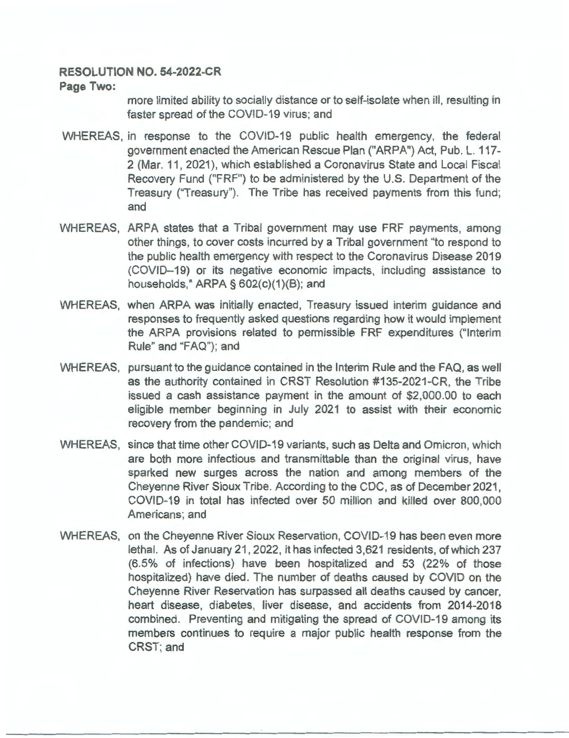### **RESOLUTION NO. 54-2022-CR**

#### **Page Two:**

more limited ability to socially distance or to self-isolate when ill, resulting in faster spread of the COVID-19 virus; and

- WHEREAS, in response to the COVID-19 public health emergency, the federal government enacted the American Rescue Plan ("ARPA") Act, Pub. L. 117- 2 (Mar. 11, 2021), which established a Coronavirus State and Local Fiscal Recovery Fund ("FRF") to be administered by the U.S. Department of the Treasury ("Treasury"). The Tribe has received payments from this fund; and
- WHEREAS, ARPA states that a Tribal government may use FRF payments, among other things, to cover costs incurred by a Tribal government "to respond to the public health emergency with respect to the Coronavirus Disease 2019 (COVID-19) or its negative economic impacts, including assistance to households," ARPA § 602(c)(1)(B); and
- WHEREAS, when ARPA was initially enacted, Treasury issued interim guidance and responses to frequently asked questions regarding how it would implement the ARPA provisions related to permissible FRF expenditures ("Interim Rule" and "FAQ"); and
- WHEREAS, pursuant to the guidance contained in the Interim Rule and the FAQ, as well as the authority contained in CRST Resolution #135-2021-CR, the Tribe issued a cash assistance payment in the amount of \$2,000.00 to each eligible member beginning in July 2021 to assist with their economic recovery from the pandemic; and
- WHEREAS, since that time other COVID-19 variants, such as Delta and Omicron, which are both more infectious and transmittable than the original virus, have sparked new surges across the nation and among members of the Cheyenne River Sioux Tribe. According to the CDC, as of December 2021, COVID-19 in total has infected over 50 million and killed over 800,000 Americans; and
- WHEREAS, on the Cheyenne River Sioux Reservation, COVID-19 has been even more lethal. As of January 21, 2022, it has infected 3,621 residents, of which 237 (6.5% of infections) have been hospitalized and 53 (22% of those hospitalized) have died. The number of deaths caused by COVID on the Cheyenne River Reservation has surpassed all deaths caused by cancer, heart disease, diabetes, liver disease, and accidents from 2014-2018 combined. Preventing and mitigating the spread of COVID-19 among its members continues to require a major public health response from the CRST; and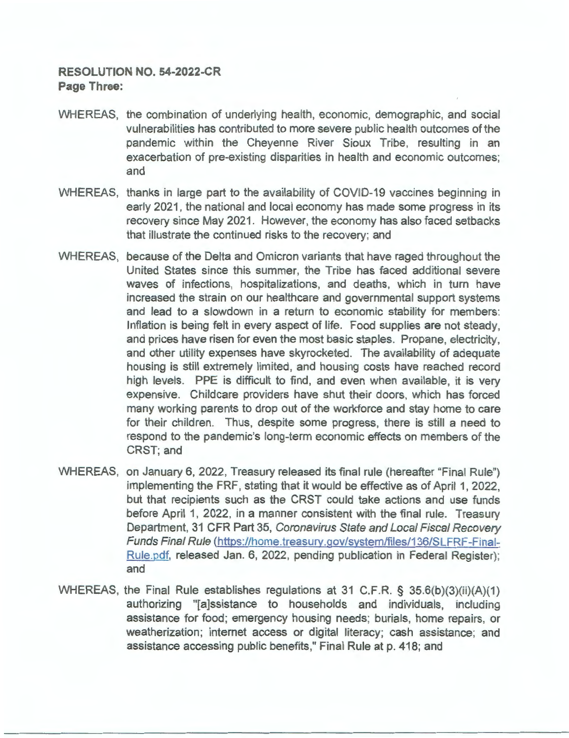# **RESOLUTION NO. 54-2022-CR Page Three:**

- WHEREAS, the combination of underlying health, economic, demographic, and social vulnerabilities has contributed to more severe public health outcomes of the pandemic within the Cheyenne River Sioux Tribe, resulting in an exacerbation of pre-existing disparities in health and economic outcomes; and
- WHEREAS, thanks in large part to the availability of COVID-19 vaccines beginning in early 2021, the national and local economy has made some progress in its recovery since May 2021. However, the economy has also faced setbacks that illustrate the continued risks to the recovery; and
- WHEREAS, because of the Delta and Omicron variants that have raged throughout the United States since this summer, the Tribe has faced additional severe waves of infections, hospitalizations, and deaths, which in turn have increased the strain on our healthcare and governmental support systems and lead to a slowdown in a return to economic stability for members: Inflation is being felt in every aspect of life. Food supplies are not steady, and prices have risen for even the most basic staples. Propane, electricity, and other utility expenses have skyrocketed. The availability of adequate housing is still extremely limited, and housing costs have reached record high levels. PPE is difficult to find, and even when available, it is very expensive. Childcare providers have shut their doors, which has forced many working parents to drop out of the workforce and stay home to care for their children. Thus, despite some progress, there is still a need to respond to the pandemic's long-term economic effects on members of the CRST; and
- WHEREAS, on January 6, 2022, Treasury released its final rule (hereafter "Final Rule") implementing the FRF, stating that it would be effective as of April 1, 2022, but that recipients such as the CRST could take actions and use funds before April 1, 2022, in a manner consistent with the final rule. Treasury Department, 31 CFR Part 35, Coronavirus State and Local Fiscal Recovery Funds Final Rule (https://home.treasury.gov/system/files/136/SLFRF-Final-Rule.pdf, released Jan. 6, 2022, pending publication in Federal Register); and
- WHEREAS, the Final Rule establishes regulations at 31 C.F.R. § 35.6(b)(3)(ii)(A)(1) authorizing "[a]ssistance to households and individuals, including assistance for food; emergency housing needs; burials, home repairs, or weatherization; internet access or digital literacy; cash assistance; and assistance accessing public benefits," Final Rule at p. 418; and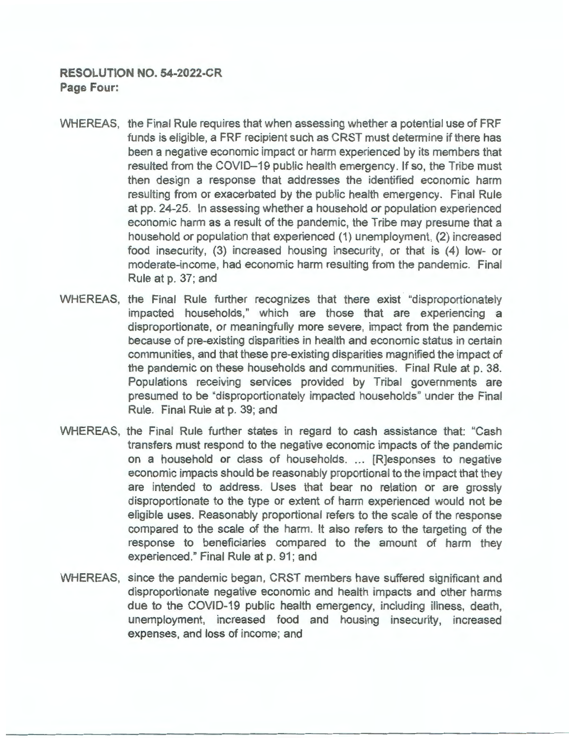- WHEREAS, the Final Rule requires that when assessing whether a potential use of FRF funds is eligible, a FRF recipient such as CRST must determine if there has been a negative economic impact or harm experienced by its members that resulted from the COVID-19 public health emergency. If so, the Tribe must then design a response that addresses the identified economic harm resulting from or exacerbated by the public health emergency. Final Rule at pp. 24-25. In assessing whether a household or population experienced economic harm as a result of the pandemic, the Tribe may presume that a household or population that experienced (1) unemployment, (2) increased food insecurity, (3) increased housing insecurity, or that is (4) low- or moderate-income, had economic harm resulting from the pandemic. Final Rule at p. 37; and
- WHEREAS, the Final Rule further recognizes that there exist "disproportionately impacted households," which are those that are experiencing a disproportionate, or meaningfully more severe, impact from the pandemic because of pre-existing disparities in health and economic status in certain communities, and that these pre-existing disparities magnified the impact of the pandemic on these households and communities. Final Rule at p. 38. Populations receiving services provided by Tribal governments are presumed to be "disproportionately impacted households" under the Final Rule. Final Rule at p. 39; and
- WHEREAS, the Final Rule further states in regard to cash assistance that: "Cash transfers must respond to the negative economic impacts of the pandemic on a household or class of households. ... [R]esponses to negative economic impacts should be reasonably proportional to the impact that they are intended to address. Uses that bear no relation or are grossly disproportionate to the type or extent of harm experienced would not be eligible uses. Reasonably proportional refers to the scale of the response compared to the scale of the harm. It also refers to the targeting of the response to beneficiaries compared to the amount of harm they experienced." Final Rule at p. 91; and
- WHEREAS, since the pandemic began, CRST members have suffered significant and disproportionate negative economic and health impacts and other harms due to the COVID-19 public health emergency, including illness, death, unemployment, increased food and housing insecurity, increased expenses, and loss of income; and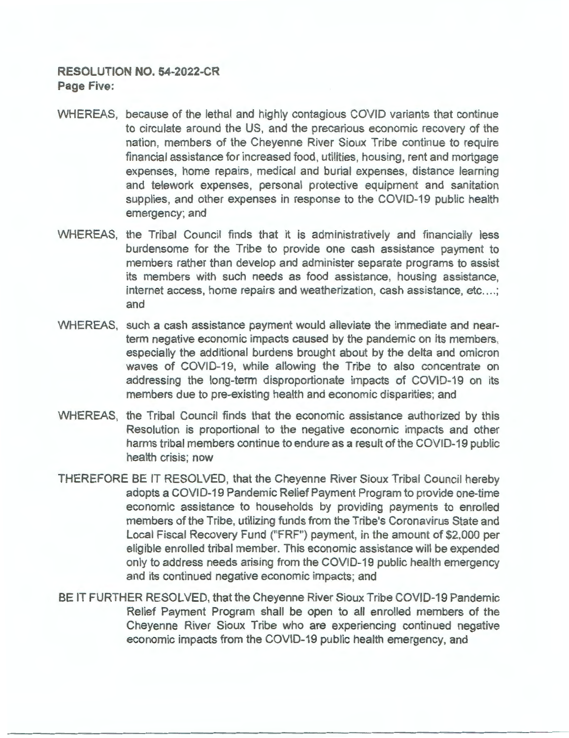# **RESOLUTION NO. 54-2022-CR Page Five:**

- WHEREAS, because of the lethal and highly contagious COVID variants that continue to circulate around the US, and the precarious economic recovery of the nation, members of the Cheyenne River Sioux Tribe continue to require financial assistance for increased food, utilities, housing, rent and mortgage expenses, home repairs, medical and burial expenses, distance learning and telework expenses, personal protective equipment and sanitation supplies, and other expenses in response to the COVID-19 public health emergency; and
- WHEREAS, the Tribal Council finds that it is administratively and financially less burdensome for the Tribe to provide one cash assistance payment to members rather than develop and administer separate programs to assist its members with such needs as food assistance, housing assistance, internet access, home repairs and weatherization, cash assistance, etc....; and
- WHEREAS, such a cash assistance payment would alleviate the immediate and nearterm negative economic impacts caused by the pandemic on its members, especially the additional burdens brought about by the delta and omicron waves of COVID-19, while allowing the Tribe to also concentrate on addressing the long-term disproportionate impacts of COVID-19 on its members due to pre-existing health and economic disparities; and
- WHEREAS, the Tribal Council finds that the economic assistance authorized by this Resolution is proportional to the negative economic impacts and other harms tribal members continue to endure as a result of the COVID-19 public health crisis; now
- THEREFORE BE IT RESOLVED, that the Cheyenne River Sioux Tribal Council hereby adopts a COVID-19 Pandemic Relief Payment Program to provide one-time economic assistance to households by providing payments to enrolled members of the Tribe, utilizing funds from the Tribe's Coronavirus State and Local Fiscal Recovery Fund ("FRF") payment, in the amount of \$2,000 per eligible enrolled tribal member. This economic assistance will be expended only to address needs arising from the COVID-19 public health emergency and its continued negative economic impacts; and
- BE IT FURTHER RESOLVED, that the Cheyenne River Sioux Tribe COVID-19 Pandemic Relief Payment Program shall be open to all enrolled members of the Cheyenne River Sioux Tribe who are experiencing continued negative economic impacts from the COVID-19 public health emergency, and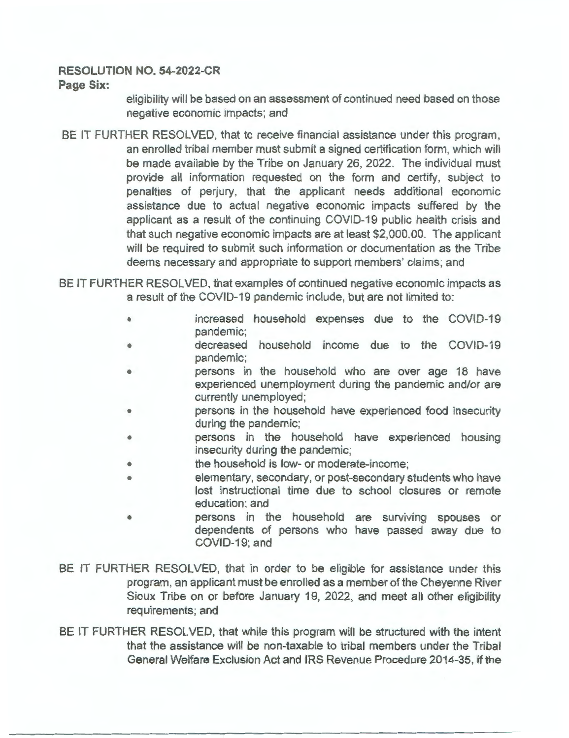# **RESOLUTION NO. 54-2022-CR**

#### **Page Six:**

eligibility will be based on an assessment of continued need based on those negative economic impacts; and

BE IT FURTHER RESOLVED, that to receive financial assistance under this program, an enrolled tribal member must submit a signed certification form, which will be made available by the Tribe on January 26, 2022. The individual must provide all information requested on the form and certify, subject to penalties of perjury, that the applicant needs additional economic assistance due to actual negative economic impacts suffered by the applicant as a result of the continuing COVID-19 public health crisis and that such negative economic impacts are at least \$2,000.00. The applicant will be required to submit such information or documentation as the Tribe deems necessary and appropriate to support members' claims; and

BE IT FURTHER RESOLVED, that examples of continued negative economic impacts as a result of the COVID-19 pandemic include, but are not limited to:

- increased household expenses due to the COVID-19 pandemic;
- decreased household income due to the COVID-19 pandemic;
- persons in the household who are over age 18 have experienced unemployment during the pandemic and/or are currently unemployed;
- persons in the household have experienced food insecurity during the pandemic;
- persons in the household have experienced housing insecurity during the pandemic;
- the household is low- or moderate-income;
- elementary, secondary, or post-secondary students who have lost instructional time due to school closures or remote education; and
- persons in the household are surviving spouses or dependents of persons who have passed away due to COVID-19; and
- BE IT FURTHER RESOLVED, that in order to be eligible for assistance under this program, an applicant must be enrolled as a member of the Cheyenne River Sioux Tribe on or before January 19, 2022, and meet all other eligibility requirements; and
- BE IT FURTHER RESOLVED, that while this program will be structured with the intent that the assistance will be non-taxable to tribal members under the Tribal General Welfare Exclusion Act and IRS Revenue Procedure 2014-35, if the